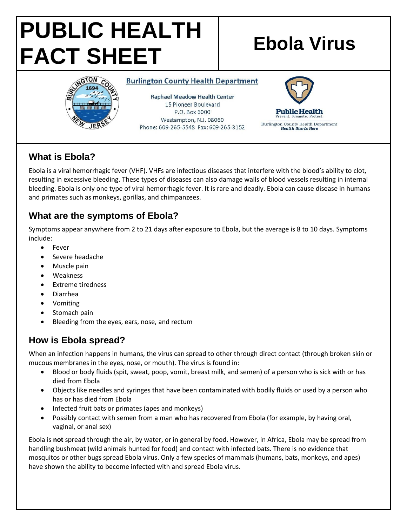# **PUBLIC HEALTH FACT SHEET Ebola Virus**



#### **Burlington County Health Department**

**Raphael Meadow Health Center** 15 Pioneer Boulevard P.O. Box 6000 Westampton, N.J. 08060 Phone: 609-265-5548 Fax: 609-265-3152



## **What is Ebola?**

Ebola is a viral hemorrhagic fever (VHF). VHFs are infectious diseases that interfere with the blood's ability to clot, resulting in excessive bleeding. These types of diseases can also damage walls of blood vessels resulting in internal bleeding. Ebola is only one type of viral hemorrhagic fever. It is rare and deadly. Ebola can cause disease in humans and primates such as monkeys, gorillas, and chimpanzees.

#### **What are the symptoms of Ebola?**

Symptoms appear anywhere from 2 to 21 days after exposure to Ebola, but the average is 8 to 10 days. Symptoms include:

- Fever
- Severe headache
- Muscle pain
- Weakness
- Extreme tiredness
- Diarrhea
- Vomiting
- Stomach pain
- Bleeding from the eyes, ears, nose, and rectum

### **How is Ebola spread?**

When an infection happens in humans, the virus can spread to other through direct contact (through broken skin or mucous membranes in the eyes, nose, or mouth). The virus is found in:

- Blood or body fluids (spit, sweat, poop, vomit, breast milk, and semen) of a person who is sick with or has died from Ebola
- Objects like needles and syringes that have been contaminated with bodily fluids or used by a person who has or has died from Ebola
- Infected fruit bats or primates (apes and monkeys)
- Possibly contact with semen from a man who has recovered from Ebola (for example, by having oral, vaginal, or anal sex)

Ebola is **not** spread through the air, by water, or in general by food. However, in Africa, Ebola may be spread from handling bushmeat (wild animals hunted for food) and contact with infected bats. There is no evidence that mosquitos or other bugs spread Ebola virus. Only a few species of mammals (humans, bats, monkeys, and apes) have shown the ability to become infected with and spread Ebola virus.